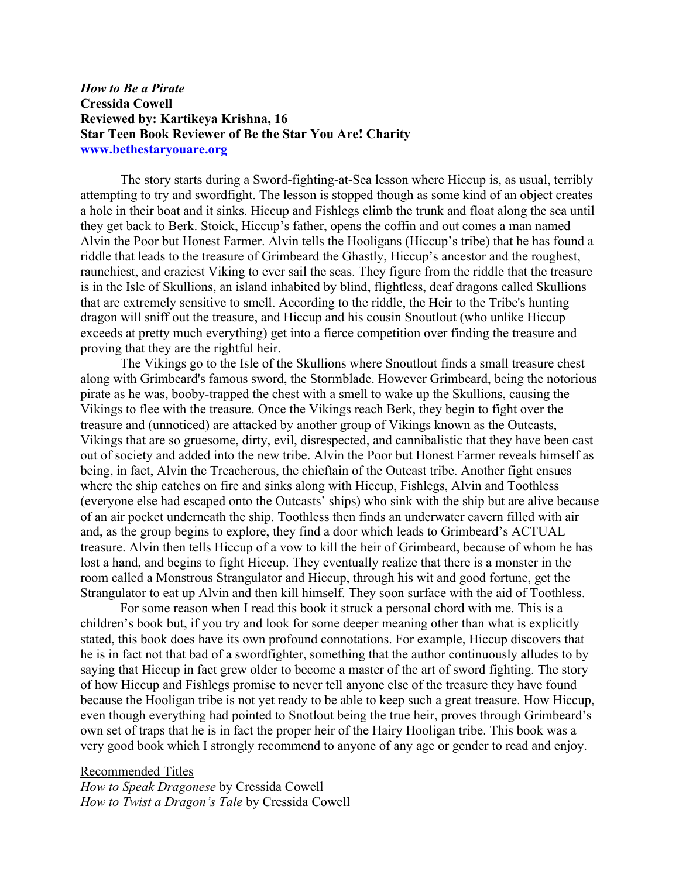## *How to Be a Pirate* **Cressida Cowell Reviewed by: Kartikeya Krishna, 16 Star Teen Book Reviewer of Be the Star You Are! Charity www.bethestaryouare.org**

The story starts during a Sword-fighting-at-Sea lesson where Hiccup is, as usual, terribly attempting to try and swordfight. The lesson is stopped though as some kind of an object creates a hole in their boat and it sinks. Hiccup and Fishlegs climb the trunk and float along the sea until they get back to Berk. Stoick, Hiccup's father, opens the coffin and out comes a man named Alvin the Poor but Honest Farmer. Alvin tells the Hooligans (Hiccup's tribe) that he has found a riddle that leads to the treasure of Grimbeard the Ghastly, Hiccup's ancestor and the roughest, raunchiest, and craziest Viking to ever sail the seas. They figure from the riddle that the treasure is in the Isle of Skullions, an island inhabited by blind, flightless, deaf dragons called Skullions that are extremely sensitive to smell. According to the riddle, the Heir to the Tribe's hunting dragon will sniff out the treasure, and Hiccup and his cousin Snoutlout (who unlike Hiccup exceeds at pretty much everything) get into a fierce competition over finding the treasure and proving that they are the rightful heir.

The Vikings go to the Isle of the Skullions where Snoutlout finds a small treasure chest along with Grimbeard's famous sword, the Stormblade. However Grimbeard, being the notorious pirate as he was, booby-trapped the chest with a smell to wake up the Skullions, causing the Vikings to flee with the treasure. Once the Vikings reach Berk, they begin to fight over the treasure and (unnoticed) are attacked by another group of Vikings known as the Outcasts, Vikings that are so gruesome, dirty, evil, disrespected, and cannibalistic that they have been cast out of society and added into the new tribe. Alvin the Poor but Honest Farmer reveals himself as being, in fact, Alvin the Treacherous, the chieftain of the Outcast tribe. Another fight ensues where the ship catches on fire and sinks along with Hiccup, Fishlegs, Alvin and Toothless (everyone else had escaped onto the Outcasts' ships) who sink with the ship but are alive because of an air pocket underneath the ship. Toothless then finds an underwater cavern filled with air and, as the group begins to explore, they find a door which leads to Grimbeard's ACTUAL treasure. Alvin then tells Hiccup of a vow to kill the heir of Grimbeard, because of whom he has lost a hand, and begins to fight Hiccup. They eventually realize that there is a monster in the room called a Monstrous Strangulator and Hiccup, through his wit and good fortune, get the Strangulator to eat up Alvin and then kill himself. They soon surface with the aid of Toothless.

For some reason when I read this book it struck a personal chord with me. This is a children's book but, if you try and look for some deeper meaning other than what is explicitly stated, this book does have its own profound connotations. For example, Hiccup discovers that he is in fact not that bad of a swordfighter, something that the author continuously alludes to by saying that Hiccup in fact grew older to become a master of the art of sword fighting. The story of how Hiccup and Fishlegs promise to never tell anyone else of the treasure they have found because the Hooligan tribe is not yet ready to be able to keep such a great treasure. How Hiccup, even though everything had pointed to Snotlout being the true heir, proves through Grimbeard's own set of traps that he is in fact the proper heir of the Hairy Hooligan tribe. This book was a very good book which I strongly recommend to anyone of any age or gender to read and enjoy.

Recommended Titles *How to Speak Dragonese* by Cressida Cowell *How to Twist a Dragon's Tale* by Cressida Cowell